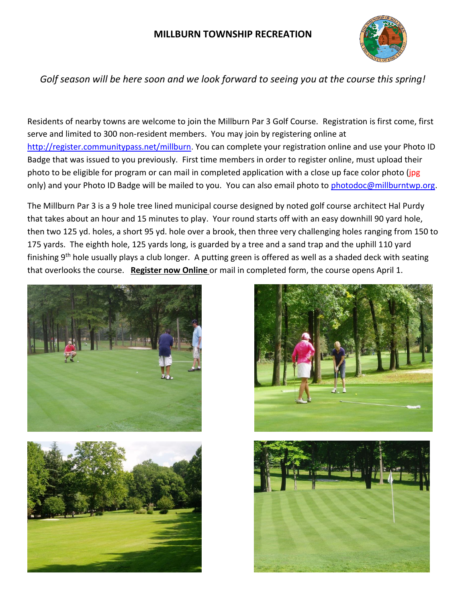## **MILLBURN TOWNSHIP RECREATION**



## *Golf season will be here soon and we look forward to seeing you at the course this spring!*

Residents of nearby towns are welcome to join the Millburn Par 3 Golf Course. Registration is first come, first serve and limited to 300 non-resident members. You may join by registering online at <http://register.communitypass.net/millburn>. You can complete your registration online and use your Photo ID Badge that was issued to you previously. First time members in order to register online, must upload their photo to be eligible for program or can mail in completed application with a close up face color photo (jpg only) and your Photo ID Badge will be mailed to you. You can also email photo to [photodoc@millburntwp.org.](mailto:photodoc@millburntwp.org)

The Millburn Par 3 is a 9 hole tree lined municipal course designed by noted golf course architect Hal Purdy that takes about an hour and 15 minutes to play. Your round starts off with an easy downhill 90 yard hole, then two 125 yd. holes, a short 95 yd. hole over a brook, then three very challenging holes ranging from 150 to 175 yards. The eighth hole, 125 yards long, is guarded by a tree and a sand trap and the uphill 110 yard finishing 9th hole usually plays a club longer. A putting green is offered as well as a shaded deck with seating that overlooks the course. **Register now Online** or mail in completed form, the course opens April 1.